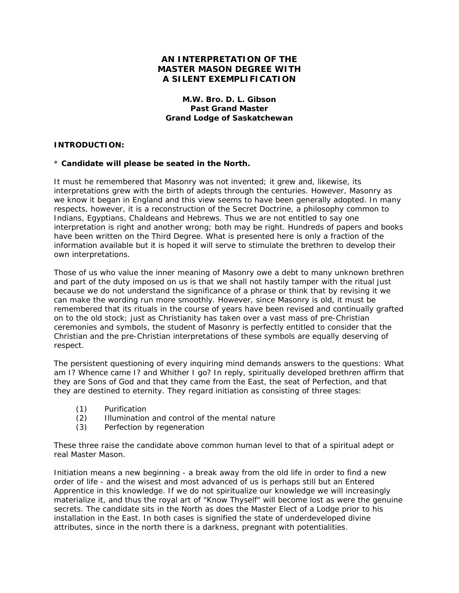# **AN INTERPRETATION OF THE MASTER MASON DEGREE WITH A SILENT EXEMPLIFICATION**

# **M.W. Bro. D. L. Gibson Past Grand Master Grand Lodge of Saskatchewan**

### **INTRODUCTION:**

### \* **Candidate will please be seated in the North.**

It must he remembered that Masonry was not invented; it grew and, likewise, its interpretations grew with the birth of adepts through the centuries. However, Masonry as we know it began in England and this view seems to have been generally adopted. In many respects, however, it is a reconstruction of the Secret Doctrine, a philosophy common to Indians, Egyptians, Chaldeans and Hebrews. Thus we are not entitled to say one interpretation is right and another wrong; both may be right. Hundreds of papers and books have been written on the Third Degree. What is presented here is only a fraction of the information available but it is hoped it will serve to stimulate the brethren to develop their own interpretations.

Those of us who value the inner meaning of Masonry owe a debt to many unknown brethren and part of the duty imposed on us is that we shall not hastily tamper with the ritual just because we do not understand the significance of a phrase or think that by revising it we can make the wording run more smoothly. However, since Masonry is old, it must be remembered that its rituals in the course of years have been revised and continually grafted on to the old stock; just as Christianity has taken over a vast mass of pre-Christian ceremonies and symbols, the student of Masonry is perfectly entitled to consider that the Christian and the pre-Christian interpretations of these symbols are equally deserving of respect.

The persistent questioning of every inquiring mind demands answers to the questions: What am I? Whence came I? and Whither I go? In reply, spiritually developed brethren affirm that they are Sons of God and that they came from the East, the seat of Perfection, and that they are destined to eternity. They regard initiation as consisting of three stages:

- (1) Purification
- (2) Illumination and control of the mental nature
- (3) Perfection by regeneration

These three raise the candidate above common human level to that of a spiritual adept or real Master Mason.

Initiation means a new beginning - a break away from the old life in order to find a new order of life - and the wisest and most advanced of us is perhaps still but an Entered Apprentice in this knowledge. If we do not spiritualize our knowledge we will increasingly materialize it, and thus the royal art of "Know Thyself" will become lost as were the genuine secrets. The candidate sits in the North as does the Master Elect of a Lodge prior to his installation in the East. In both cases is signified the state of underdeveloped divine attributes, since in the north there is a darkness, pregnant with potentialities.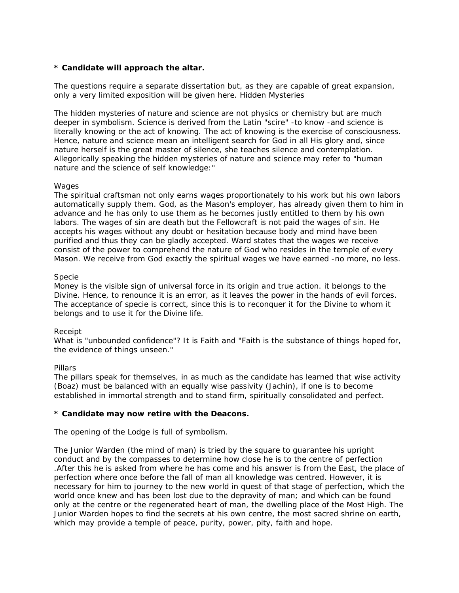# **\* Candidate will approach the altar.**

The questions require a separate dissertation but, as they are capable of great expansion, only a very limited exposition will be given here. Hidden Mysteries

The hidden mysteries of nature and science are not physics or chemistry but are much deeper in symbolism. Science is derived from the Latin "scire" -to know -and science is literally knowing or the act of knowing. The act of knowing is the exercise of consciousness. Hence, nature and science mean an intelligent search for God in all His glory and, since nature herself is the great master of silence, she teaches silence and contemplation. Allegorically speaking the hidden mysteries of nature and science may refer to "human nature and the science of self knowledge:"

# **Wages**

The spiritual craftsman not only earns wages proportionately to his work but his own labors automatically supply them. God, as the Mason's employer, has already given them to him in advance and he has only to use them as he becomes justly entitled to them by his own labors. The wages of sin are death but the Fellowcraft is not paid the wages of sin. He accepts his wages without any doubt or hesitation because body and mind have been purified and thus they can be gladly accepted. Ward states that the wages we receive consist of the power to comprehend the nature of God who resides in the temple of every Mason. We receive from God exactly the spiritual wages we have earned -no more, no less.

# Specie

Money is the visible sign of universal force in its origin and true action. it belongs to the Divine. Hence, to renounce it is an error, as it leaves the power in the hands of evil forces. The acceptance of specie is correct, since this is to reconquer it for the Divine to whom it belongs and to use it for the Divine life.

# Receipt

What is "unbounded confidence"? It is Faith and "Faith is the substance of things hoped for, the evidence of things unseen."

# Pillars

The pillars speak for themselves, in as much as the candidate has learned that wise activity (Boaz) must be balanced with an equally wise passivity (Jachin), if one is to become established in immortal strength and to stand firm, spiritually consolidated and perfect.

# **\* Candidate may now retire with the Deacons.**

The opening of the Lodge is full of symbolism.

The Junior Warden (the mind of man) is tried by the square to guarantee his upright conduct and by the compasses to determine how close he is to the centre of perfection .After this he is asked from where he has come and his answer is from the East, the place of perfection where once before the fall of man all knowledge was centred. However, it is necessary for him to journey to the new world in quest of that stage of perfection, which the world once knew and has been lost due to the depravity of man; and which can be found only at the centre or the regenerated heart of man, the dwelling place of the Most High. The Junior Warden hopes to find the secrets at his own centre, the most sacred shrine on earth, which may provide a temple of peace, purity, power, pity, faith and hope.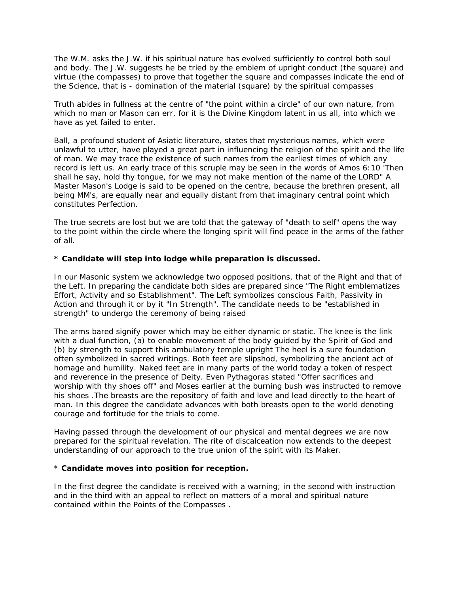The W.M. asks the J.W. if his spiritual nature has evolved sufficiently to control both soul and body. The J.W. suggests he be tried by the emblem of upright conduct (the square) and virtue (the compasses) to prove that together the square and compasses indicate the end of the Science, that is - domination of the material (square) by the spiritual compasses

Truth abides in fullness at the centre of "the point within a circle" of our own nature, from which no man or Mason can err, for it is the Divine Kingdom latent in us all, into which we have as yet failed to enter.

Ball, a profound student of Asiatic literature, states that mysterious names, which were unlawful to utter, have played a great part in influencing the religion of the spirit and the life of man. We may trace the existence of such names from the earliest times of which any record is left us. An early trace of this scruple may be seen in the words of Amos 6:10 'Then shall he say, hold thy tongue, for we may not make mention of the name of the LORD" A Master Mason's Lodge is said to be opened on the centre, because the brethren present, all being MM's, are equally near and equally distant from that imaginary central point which constitutes Perfection.

The true secrets are lost but we are told that the gateway of "death to self" opens the way to the point within the circle where the longing spirit will find peace in the arms of the father of all.

# **\* Candidate will step into lodge while preparation is discussed.**

In our Masonic system we acknowledge two opposed positions, that of the Right and that of the Left. In preparing the candidate both sides are prepared since "The Right emblematizes Effort, Activity and so Establishment". The Left symbolizes conscious Faith, Passivity in Action and through it or by it "In Strength". The candidate needs to be "established in strength" to undergo the ceremony of being raised

The arms bared signify power which may be either dynamic or static. The knee is the link with a dual function, (a) to enable movement of the body guided by the Spirit of God and (b) by strength to support this ambulatory temple upright The heel is a sure foundation often symbolized in sacred writings. Both feet are slipshod, symbolizing the ancient act of homage and humility. Naked feet are in many parts of the world today a token of respect and reverence in the presence of Deity. Even Pythagoras stated "Offer sacrifices and worship with thy shoes off" and Moses earlier at the burning bush was instructed to remove his shoes .The breasts are the repository of faith and love and lead directly to the heart of man. In this degree the candidate advances with both breasts open to the world denoting courage and fortitude for the trials to come.

Having passed through the development of our physical and mental degrees we are now prepared for the spiritual revelation. The rite of discalceation now extends to the deepest understanding of our approach to the true union of the spirit with its Maker.

# \* **Candidate moves into position for reception.**

In the first degree the candidate is received with a warning; in the second with instruction and in the third with an appeal to reflect on matters of a moral and spiritual nature contained within the Points of the Compasses .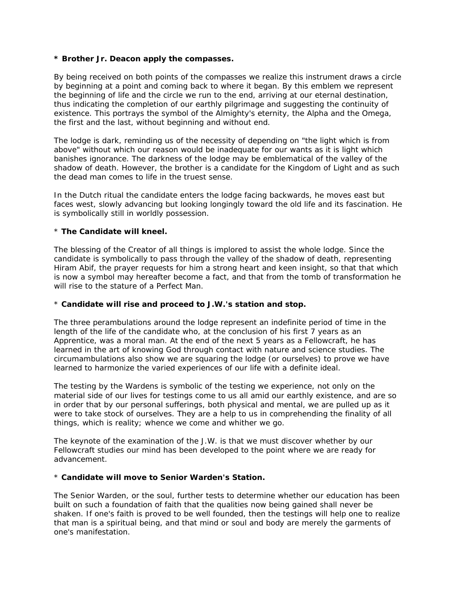#### **\* Brother Jr. Deacon apply the compasses.**

By being received on both points of the compasses we realize this instrument draws a circle by beginning at a point and coming back to where it began. By this emblem we represent the beginning of life and the circle we run to the end, arriving at our eternal destination, thus indicating the completion of our earthly pilgrimage and suggesting the continuity of existence. This portrays the symbol of the Almighty's eternity, the Alpha and the Omega, the first and the last, without beginning and without end.

The lodge is dark, reminding us of the necessity of depending on "the light which is from above" without which our reason would be inadequate for our wants as it is light which banishes ignorance. The darkness of the lodge may be emblematical of the valley of the shadow of death. However, the brother is a candidate for the Kingdom of Light and as such the dead man comes to life in the truest sense.

In the Dutch ritual the candidate enters the lodge facing backwards, he moves east but faces west, slowly advancing but looking longingly toward the old life and its fascination. He is symbolically still in worldly possession.

### \* **The Candidate will kneel.**

The blessing of the Creator of all things is implored to assist the whole lodge. Since the candidate is symbolically to pass through the valley of the shadow of death, representing Hiram Abif, the prayer requests for him a strong heart and keen insight, so that that which is now a symbol may hereafter become a fact, and that from the tomb of transformation he will rise to the stature of a Perfect Man

# \* **Candidate will rise and proceed to J.W.'s station and stop.**

The three perambulations around the lodge represent an indefinite period of time in the length of the life of the candidate who, at the conclusion of his first 7 years as an Apprentice, was a moral man. At the end of the next 5 years as a Fellowcraft, he has learned in the art of knowing God through contact with nature and science studies. The circumambulations also show we are squaring the lodge (or ourselves) to prove we have learned to harmonize the varied experiences of our life with a definite ideal.

The testing by the Wardens is symbolic of the testing we experience, not only on the material side of our lives for testings come to us all amid our earthly existence, and are so in order that by our personal sufferings, both physical and mental, we are pulled up as it were to take stock of ourselves. They are a help to us in comprehending the finality of all things, which is reality; whence we come and whither we go.

The keynote of the examination of the J.W. is that we must discover whether by our Fellowcraft studies our mind has been developed to the point where we are ready for advancement.

### \* **Candidate will move to Senior Warden's Station.**

The Senior Warden, or the soul, further tests to determine whether our education has been built on such a foundation of faith that the qualities now being gained shall never be shaken. If one's faith is proved to be well founded, then the testings will help one to realize that man is a spiritual being, and that mind or soul and body are merely the garments of one's manifestation.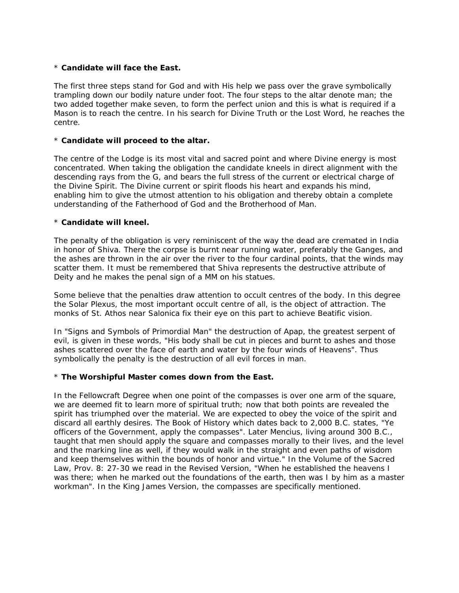### \* **Candidate will face the East.**

The first three steps stand for God and with His help we pass over the grave symbolically trampling down our bodily nature under foot. The four steps to the altar denote man; the two added together make seven, to form the perfect union and this is what is required if a Mason is to reach the centre. In his search for Divine Truth or the Lost Word, he reaches the centre.

### \* **Candidate will proceed to the altar.**

The centre of the Lodge is its most vital and sacred point and where Divine energy is most concentrated. When taking the obligation the candidate kneels in direct alignment with the descending rays from the G, and bears the full stress of the current or electrical charge of the Divine Spirit. The Divine current or spirit floods his heart and expands his mind, enabling him to give the utmost attention to his obligation and thereby obtain a complete understanding of the Fatherhood of God and the Brotherhood of Man.

### \* **Candidate will kneel.**

The penalty of the obligation is very reminiscent of the way the dead are cremated in India in honor of Shiva. There the corpse is burnt near running water, preferably the Ganges, and the ashes are thrown in the air over the river to the four cardinal points, that the winds may scatter them. It must be remembered that Shiva represents the destructive attribute of Deity and he makes the penal sign of a MM on his statues.

Some believe that the penalties draw attention to occult centres of the body. In this degree the Solar Plexus, the most important occult centre of all, is the object of attraction. The monks of St. Athos near Salonica fix their eye on this part to achieve Beatific vision.

In "Signs and Symbols of Primordial Man" the destruction of Apap, the greatest serpent of evil, is given in these words, "His body shall be cut in pieces and burnt to ashes and those ashes scattered over the face of earth and water by the four winds of Heavens". Thus symbolically the penalty is the destruction of all evil forces in man.

#### \* **The Worshipful Master comes down from the East.**

In the Fellowcraft Degree when one point of the compasses is over one arm of the square, we are deemed fit to learn more of spiritual truth; now that both points are revealed the spirit has triumphed over the material. We are expected to obey the voice of the spirit and discard all earthly desires. The Book of History which dates back to 2,000 B.C. states, "Ye officers of the Government, apply the compasses". Later Mencius, living around 300 B.C., taught that men should apply the square and compasses morally to their lives, and the level and the marking line as well, if they would walk in the straight and even paths of wisdom and keep themselves within the bounds of honor and virtue." In the Volume of the Sacred Law, Prov. 8: 27-30 we read in the Revised Version, "When he established the heavens I was there; when he marked out the foundations of the earth, then was I by him as a master workman". In the King James Version, the compasses are specifically mentioned.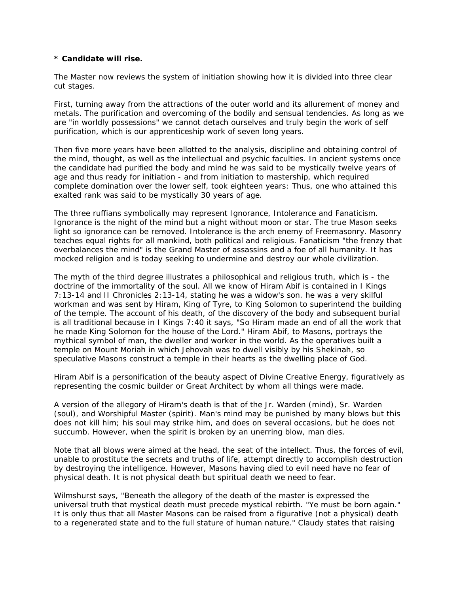#### **\* Candidate will rise.**

The Master now reviews the system of initiation showing how it is divided into three clear cut stages.

First, turning away from the attractions of the outer world and its allurement of money and metals. The purification and overcoming of the bodily and sensual tendencies. As long as we are "in worldly possessions" we cannot detach ourselves and truly begin the work of self purification, which is our apprenticeship work of seven long years.

Then five more years have been allotted to the analysis, discipline and obtaining control of the mind, thought, as well as the intellectual and psychic faculties. In ancient systems once the candidate had purified the body and mind he was said to be mystically twelve years of age and thus ready for initiation - and from initiation to mastership, which required complete domination over the lower self, took eighteen years: Thus, one who attained this exalted rank was said to be mystically 30 years of age.

The three ruffians symbolically may represent Ignorance, Intolerance and Fanaticism. Ignorance is the night of the mind but a night without moon or star. The true Mason seeks light so ignorance can be removed. Intolerance is the arch enemy of Freemasonry. Masonry teaches equal rights for all mankind, both political and religious. Fanaticism "the frenzy that overbalances the mind" is the Grand Master of assassins and a foe of all humanity. It has mocked religion and is today seeking to undermine and destroy our whole civilization.

The myth of the third degree illustrates a philosophical and religious truth, which is - the doctrine of the immortality of the soul. All we know of Hiram Abif is contained in I Kings 7:13-14 and II Chronicles 2:13-14, stating he was a widow's son. he was a very skilful workman and was sent by Hiram, King of Tyre, to King Solomon to superintend the building of the temple. The account of his death, of the discovery of the body and subsequent burial is all traditional because in I Kings 7:40 it says, "So Hiram made an end of all the work that he made King Solomon for the house of the Lord." Hiram Abif, to Masons, portrays the mythical symbol of man, the dweller and worker in the world. As the operatives built a temple on Mount Moriah in which Jehovah was to dwell visibly by his Shekinah, so speculative Masons construct a temple in their hearts as the dwelling place of God.

Hiram Abif is a personification of the beauty aspect of Divine Creative Energy, figuratively as representing the cosmic builder or Great Architect by whom all things were made.

A version of the allegory of Hiram's death is that of the Jr. Warden (mind), Sr. Warden (soul), and Worshipful Master (spirit). Man's mind may be punished by many blows but this does not kill him; his soul may strike him, and does on several occasions, but he does not succumb. However, when the spirit is broken by an unerring blow, man dies.

Note that all blows were aimed at the head, the seat of the intellect. Thus, the forces of evil, unable to prostitute the secrets and truths of life, attempt directly to accomplish destruction by destroying the intelligence. However, Masons having died to evil need have no fear of physical death. It is not physical death but spiritual death we need to fear.

Wilmshurst says, "Beneath the allegory of the death of the master is expressed the universal truth that mystical death must precede mystical rebirth. "Ye must be born again." It is only thus that all Master Masons can be raised from a figurative (not a physical) death to a regenerated state and to the full stature of human nature." Claudy states that raising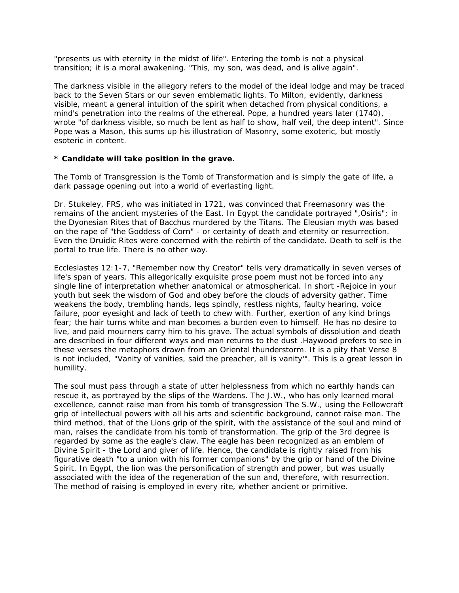"presents us with eternity in the midst of life". Entering the tomb is not a physical transition; it is a moral awakening. "This, my son, was dead, and is alive again".

The darkness visible in the allegory refers to the model of the ideal lodge and may be traced back to the Seven Stars or our seven emblematic lights. To Milton, evidently, darkness visible, meant a general intuition of the spirit when detached from physical conditions, a mind's penetration into the realms of the ethereal. Pope, a hundred years later (1740), wrote "of darkness visible, so much be lent as half to show, half veil, the deep intent". Since Pope was a Mason, this sums up his illustration of Masonry, some exoteric, but mostly esoteric in content.

# **\* Candidate will take position in the grave.**

The Tomb of Transgression is the Tomb of Transformation and is simply the gate of life, a dark passage opening out into a world of everlasting light.

Dr. Stukeley, FRS, who was initiated in 1721, was convinced that Freemasonry was the remains of the ancient mysteries of the East. In Egypt the candidate portrayed ", Osiris"; in the Dyonesian Rites that of Bacchus murdered by the Titans. The Eleusian myth was based on the rape of "the Goddess of Corn" - or certainty of death and eternity or resurrection. Even the Druidic Rites were concerned with the rebirth of the candidate. Death to self is the portal to true life. There is no other way.

Ecclesiastes 12:1-7, "Remember now thy Creator" tells very dramatically in seven verses of life's span of years. This allegorically exquisite prose poem must not be forced into any single line of interpretation whether anatomical or atmospherical. In short -Rejoice in your youth but seek the wisdom of God and obey before the clouds of adversity gather. Time weakens the body, trembling hands, legs spindly, restless nights, faulty hearing, voice failure, poor eyesight and lack of teeth to chew with. Further, exertion of any kind brings fear; the hair turns white and man becomes a burden even to himself. He has no desire to live, and paid mourners carry him to his grave. The actual symbols of dissolution and death are described in four different ways and man returns to the dust .Haywood prefers to see in these verses the metaphors drawn from an Oriental thunderstorm. It is a pity that Verse 8 is not included, "Vanity of vanities, said the preacher, all is vanity'". This is a great lesson in humility.

The soul must pass through a state of utter helplessness from which no earthly hands can rescue it, as portrayed by the slips of the Wardens. The J.W., who has only learned moral excellence, cannot raise man from his tomb of transgression The S.W., using the Fellowcraft grip of intellectual powers with all his arts and scientific background, cannot raise man. The third method, that of the Lions grip of the spirit, with the assistance of the soul and mind of man, raises the candidate from his tomb of transformation. The grip of the 3rd degree is regarded by some as the eagle's claw. The eagle has been recognized as an emblem of Divine Spirit - the Lord and giver of life. Hence, the candidate is rightly raised from his figurative death "to a union with his former companions" by the grip or hand of the Divine Spirit. In Egypt, the lion was the personification of strength and power, but was usually associated with the idea of the regeneration of the sun and, therefore, with resurrection. The method of raising is employed in every rite, whether ancient or primitive.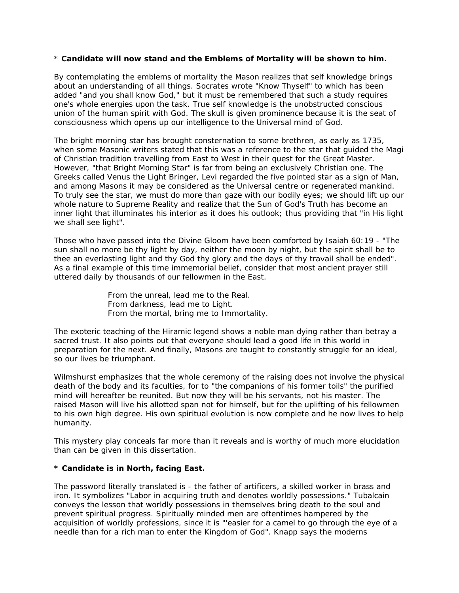#### \* **Candidate will now stand and the Emblems of Mortality will be shown to him.**

By contemplating the emblems of mortality the Mason realizes that self knowledge brings about an understanding of all things. Socrates wrote "Know Thyself" to which has been added "and you shall know God," but it must be remembered that such a study requires one's whole energies upon the task. True self knowledge is the unobstructed conscious union of the human spirit with God. The skull is given prominence because it is the seat of consciousness which opens up our intelligence to the Universal mind of God.

The bright morning star has brought consternation to some brethren, as early as 1735, when some Masonic writers stated that this was a reference to the star that guided the Magi of Christian tradition travelling from East to West in their quest for the Great Master. However, "that Bright Morning Star" is far from being an exclusively Christian one. The Greeks called Venus the Light Bringer, Levi regarded the five pointed star as a sign of Man, and among Masons it may be considered as the Universal centre or regenerated mankind. To truly see the star, we must do more than gaze with our bodily eyes; we should lift up our whole nature to Supreme Reality and realize that the Sun of God's Truth has become an inner light that illuminates his interior as it does his outlook; thus providing that "in His light we shall see light".

Those who have passed into the Divine Gloom have been comforted by Isaiah 60:19 - "The sun shall no more be thy light by day, neither the moon by night, but the spirit shall be to thee an everlasting light and thy God thy glory and the days of thy travail shall be ended". As a final example of this time immemorial belief, consider that most ancient prayer still uttered daily by thousands of our fellowmen in the East.

> From the unreal, lead me to the Real. From darkness, lead me to Light. From the mortal, bring me to Immortality.

The exoteric teaching of the Hiramic legend shows a noble man dying rather than betray a sacred trust. It also points out that everyone should lead a good life in this world in preparation for the next. And finally, Masons are taught to constantly struggle for an ideal, so our lives be triumphant.

Wilmshurst emphasizes that the whole ceremony of the raising does not involve the physical death of the body and its faculties, for to "the companions of his former toils" the purified mind will hereafter be reunited. But now they will be his servants, not his master. The raised Mason will live his allotted span not for himself, but for the uplifting of his fellowmen to his own high degree. His own spiritual evolution is now complete and he now lives to help humanity.

This mystery play conceals far more than it reveals and is worthy of much more elucidation than can be given in this dissertation.

# **\* Candidate is in North, facing East.**

The password literally translated is - the father of artificers, a skilled worker in brass and iron. It symbolizes "Labor in acquiring truth and denotes worldly possessions." Tubalcain conveys the lesson that worldly possessions in themselves bring death to the soul and prevent spiritual progress. Spiritually minded men are oftentimes hampered by the acquisition of worldly professions, since it is "'easier for a camel to go through the eye of a needle than for a rich man to enter the Kingdom of God". Knapp says the moderns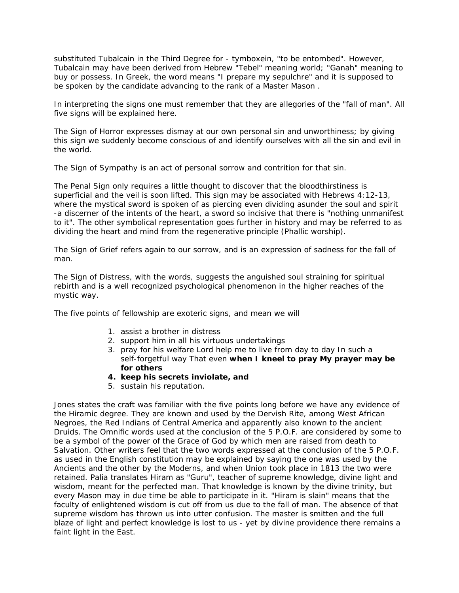substituted Tubalcain in the Third Degree for - tymboxein, "to be entombed". However, Tubalcain may have been derived from Hebrew "Tebel" meaning world; "Ganah" meaning to buy or possess. In Greek, the word means "I prepare my sepulchre" and it is supposed to be spoken by the candidate advancing to the rank of a Master Mason .

In interpreting the signs one must remember that they are allegories of the "fall of man". All five signs will be explained here.

The Sign of Horror expresses dismay at our own personal sin and unworthiness; by giving this sign we suddenly become conscious of and identify ourselves with all the sin and evil in the world.

The Sign of Sympathy is an act of personal sorrow and contrition for that sin.

The Penal Sign only requires a little thought to discover that the bloodthirstiness is superficial and the veil is soon lifted. This sign may be associated with Hebrews 4:12-13, where the mystical sword is spoken of as piercing even dividing asunder the soul and spirit -a discerner of the intents of the heart, a sword so incisive that there is "nothing unmanifest to it". The other symbolical representation goes further in history and may be referred to as dividing the heart and mind from the regenerative principle (Phallic worship).

The Sign of Grief refers again to our sorrow, and is an expression of sadness for the fall of man.

The Sign of Distress, with the words, suggests the anguished soul straining for spiritual rebirth and is a well recognized psychological phenomenon in the higher reaches of the mystic way.

The five points of fellowship are exoteric signs, and mean we will

- 1. assist a brother in distress
- 2. support him in all his virtuous undertakings
- 3. pray for his welfare Lord help me to live from day to day In such a self-forgetful way That even **when I kneel to pray My prayer may be for others**
- **4. keep his secrets inviolate, and**
- 5. sustain his reputation.

Jones states the craft was familiar with the five points long before we have any evidence of the Hiramic degree. They are known and used by the Dervish Rite, among West African Negroes, the Red Indians of Central America and apparently also known to the ancient Druids. The Omnific words used at the conclusion of the 5 P.O.F. are considered by some to be a symbol of the power of the Grace of God by which men are raised from death to Salvation. Other writers feel that the two words expressed at the conclusion of the 5 P.O.F. as used in the English constitution may be explained by saying the one was used by the Ancients and the other by the Moderns, and when Union took place in 1813 the two were retained. Palia translates Hiram as "Guru", teacher of supreme knowledge, divine light and wisdom, meant for the perfected man. That knowledge is known by the divine trinity, but every Mason may in due time be able to participate in it. "Hiram is slain" means that the faculty of enlightened wisdom is cut off from us due to the fall of man. The absence of that supreme wisdom has thrown us into utter confusion. The master is smitten and the full blaze of light and perfect knowledge is lost to us - yet by divine providence there remains a faint light in the East.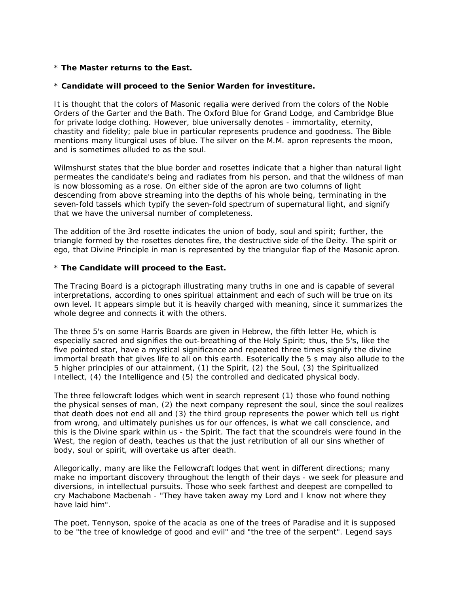# \* **The Master returns to the East.**

#### \* **Candidate will proceed to the Senior Warden for investiture.**

It is thought that the colors of Masonic regalia were derived from the colors of the Noble Orders of the Garter and the Bath. The Oxford Blue for Grand Lodge, and Cambridge Blue for private lodge clothing. However, blue universally denotes - immortality, eternity, chastity and fidelity; pale blue in particular represents prudence and goodness. The Bible mentions many liturgical uses of blue. The silver on the M.M. apron represents the moon, and is sometimes alluded to as the soul.

Wilmshurst states that the blue border and rosettes indicate that a higher than natural light permeates the candidate's being and radiates from his person, and that the wildness of man is now blossoming as a rose. On either side of the apron are two columns of light descending from above streaming into the depths of his whole being, terminating in the seven-fold tassels which typify the seven-fold spectrum of supernatural light, and signify that we have the universal number of completeness.

The addition of the 3rd rosette indicates the union of body, soul and spirit; further, the triangle formed by the rosettes denotes fire, the destructive side of the Deity. The spirit or ego, that Divine Principle in man is represented by the triangular flap of the Masonic apron.

#### \* **The Candidate will proceed to the East.**

The Tracing Board is a pictograph illustrating many truths in one and is capable of several interpretations, according to ones spiritual attainment and each of such will be true on its own level. It appears simple but it is heavily charged with meaning, since it summarizes the whole degree and connects it with the others.

The three 5's on some Harris Boards are given in Hebrew, the fifth letter He, which is especially sacred and signifies the out-breathing of the Holy Spirit; thus, the 5's, like the five pointed star, have a mystical significance and repeated three times signify the divine immortal breath that gives life to all on this earth. Esoterically the 5 s may also allude to the 5 higher principles of our attainment, (1) the Spirit, (2) the Soul, (3) the Spiritualized Intellect, (4) the Intelligence and (5) the controlled and dedicated physical body.

The three fellowcraft lodges which went in search represent (1) those who found nothing the physical senses of man, (2) the next company represent the soul, since the soul realizes that death does not end all and (3) the third group represents the power which tell us right from wrong, and ultimately punishes us for our offences, is what we call conscience, and this is the Divine spark within us - the Spirit. The fact that the scoundrels were found in the West, the region of death, teaches us that the just retribution of all our sins whether of body, soul or spirit, will overtake us after death.

Allegorically, many are like the Fellowcraft lodges that went in different directions; many make no important discovery throughout the length of their days - we seek for pleasure and diversions, in intellectual pursuits. Those who seek farthest and deepest are compelled to cry Machabone Macbenah - "They have taken away my Lord and I know not where they have laid him".

The poet, Tennyson, spoke of the acacia as one of the trees of Paradise and it is supposed to be "the tree of knowledge of good and evil" and "the tree of the serpent". Legend says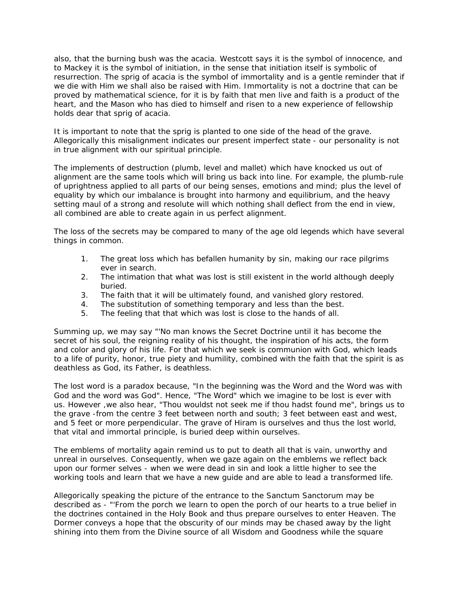also, that the burning bush was the acacia. Westcott says it is the symbol of innocence, and to Mackey it is the symbol of initiation, in the sense that initiation itself is symbolic of resurrection. The sprig of acacia is the symbol of immortality and is a gentle reminder that if we die with Him we shall also be raised with Him. Immortality is not a doctrine that can be proved by mathematical science, for it is by faith that men live and faith is a product of the heart, and the Mason who has died to himself and risen to a new experience of fellowship holds dear that sprig of acacia.

It is important to note that the sprig is planted to one side of the head of the grave. Allegorically this misalignment indicates our present imperfect state - our personality is not in true alignment with our spiritual principle.

The implements of destruction (plumb, level and mallet) which have knocked us out of alignment are the same tools which will bring us back into line. For example, the plumb-rule of uprightness applied to all parts of our being senses, emotions and mind; plus the level of equality by which our imbalance is brought into harmony and equilibrium, and the heavy setting maul of a strong and resolute will which nothing shall deflect from the end in view, all combined are able to create again in us perfect alignment.

The loss of the secrets may be compared to many of the age old legends which have several things in common.

- 1. The great loss which has befallen humanity by sin, making our race pilgrims ever in search.
- 2. The intimation that what was lost is still existent in the world although deeply buried.
- 3. The faith that it will be ultimately found, and vanished glory restored.
- 4. The substitution of something temporary and less than the best.
- 5. The feeling that that which was lost is close to the hands of all.

Summing up, we may say "'No man knows the Secret Doctrine until it has become the secret of his soul, the reigning reality of his thought, the inspiration of his acts, the form and color and glory of his life. For that which we seek is communion with God, which leads to a life of purity, honor, true piety and humility, combined with the faith that the spirit is as deathless as God, its Father, is deathless.

The lost word is a paradox because, "In the beginning was the Word and the Word was with God and the word was God". Hence, "The Word" which we imagine to be lost is ever with us. However ,we also hear, "Thou wouldst not seek me if thou hadst found me", brings us to the grave -from the centre 3 feet between north and south; 3 feet between east and west, and 5 feet or more perpendicular. The grave of Hiram is ourselves and thus the lost world, that vital and immortal principle, is buried deep within ourselves.

The emblems of mortality again remind us to put to death all that is vain, unworthy and unreal in ourselves. Consequently, when we gaze again on the emblems we reflect back upon our former selves - when we were dead in sin and look a little higher to see the working tools and learn that we have a new guide and are able to lead a transformed life.

Allegorically speaking the picture of the entrance to the Sanctum Sanctorum may be described as - "'From the porch we learn to open the porch of our hearts to a true belief in the doctrines contained in the Holy Book and thus prepare ourselves to enter Heaven. The Dormer conveys a hope that the obscurity of our minds may be chased away by the light shining into them from the Divine source of all Wisdom and Goodness while the square